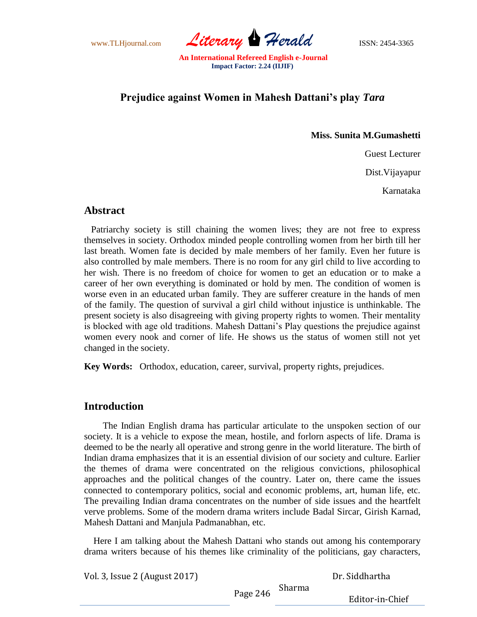www.TLHjournal.com **Literary Herald** ISSN: 2454-3365

# **Prejudice against Women in Mahesh Dattani's play** *Tara*

**Miss. Sunita M.Gumashetti**

Guest Lecturer

Dist.Vijayapur

Karnataka

#### **Abstract**

 Patriarchy society is still chaining the women lives; they are not free to express themselves in society. Orthodox minded people controlling women from her birth till her last breath. Women fate is decided by male members of her family. Even her future is also controlled by male members. There is no room for any girl child to live according to her wish. There is no freedom of choice for women to get an education or to make a career of her own everything is dominated or hold by men. The condition of women is worse even in an educated urban family. They are sufferer creature in the hands of men of the family. The question of survival a girl child without injustice is unthinkable. The present society is also disagreeing with giving property rights to women. Their mentality is blocked with age old traditions. Mahesh Dattani"s Play questions the prejudice against women every nook and corner of life. He shows us the status of women still not yet changed in the society.

**Key Words:** Orthodox, education, career, survival, property rights, prejudices.

### **Introduction**

 The Indian English drama has particular articulate to the unspoken section of our society. It is a vehicle to expose the mean, hostile, and forlorn aspects of life. Drama is deemed to be the nearly all operative and strong genre in the world literature. The birth of Indian drama emphasizes that it is an essential division of our society and culture. Earlier the themes of drama were concentrated on the religious convictions, philosophical approaches and the political changes of the country. Later on, there came the issues connected to contemporary politics, social and economic problems, art, human life, etc. The prevailing Indian drama concentrates on the number of side issues and the heartfelt verve problems. Some of the modern drama writers include Badal Sircar, Girish Karnad, Mahesh Dattani and Manjula Padmanabhan, etc.

 Here I am talking about the Mahesh Dattani who stands out among his contemporary drama writers because of his themes like criminality of the politicians, gay characters,

Vol. 3, Issue 2 (August 2017)

Dr. Siddhartha

Page 246 Sharma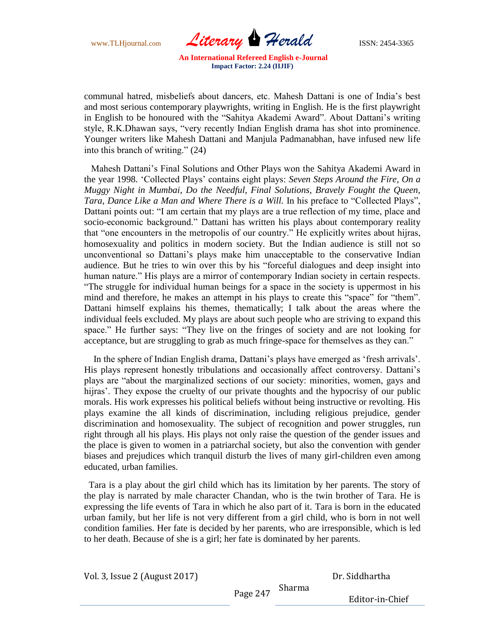www.TLHjournal.com **Literary Herald** ISSN: 2454-3365

communal hatred, misbeliefs about dancers, etc. Mahesh Dattani is one of India"s best and most serious contemporary playwrights, writing in English. He is the first playwright in English to be honoured with the "Sahitya Akademi Award". About Dattani"s writing style, R.K.Dhawan says, "very recently Indian English drama has shot into prominence. Younger writers like Mahesh Dattani and Manjula Padmanabhan, have infused new life into this branch of writing." (24)

 Mahesh Dattani"s Final Solutions and Other Plays won the Sahitya Akademi Award in the year 1998. "Collected Plays" contains eight plays: *Seven Steps Around the Fire, On a Muggy Night in Mumbai, Do the Needful, Final Solutions, Bravely Fought the Queen, Tara, Dance Like a Man and Where There is a Will.* In his preface to "Collected Plays", Dattani points out: "I am certain that my plays are a true reflection of my time, place and socio-economic background." Dattani has written his plays about contemporary reality that "one encounters in the metropolis of our country." He explicitly writes about hijras, homosexuality and politics in modern society. But the Indian audience is still not so unconventional so Dattani's plays make him unacceptable to the conservative Indian audience. But he tries to win over this by his "forceful dialogues and deep insight into human nature." His plays are a mirror of contemporary Indian society in certain respects. "The struggle for individual human beings for a space in the society is uppermost in his mind and therefore, he makes an attempt in his plays to create this "space" for "them". Dattani himself explains his themes, thematically; I talk about the areas where the individual feels excluded. My plays are about such people who are striving to expand this space." He further says: "They live on the fringes of society and are not looking for acceptance, but are struggling to grab as much fringe-space for themselves as they can."

In the sphere of Indian English drama, Dattani's plays have emerged as 'fresh arrivals'. His plays represent honestly tribulations and occasionally affect controversy. Dattani's plays are "about the marginalized sections of our society: minorities, women, gays and hijras'. They expose the cruelty of our private thoughts and the hypocrisy of our public morals. His work expresses his political beliefs without being instructive or revolting. His plays examine the all kinds of discrimination, including religious prejudice, gender discrimination and homosexuality. The subject of recognition and power struggles, run right through all his plays. His plays not only raise the question of the gender issues and the place is given to women in a patriarchal society, but also the convention with gender biases and prejudices which tranquil disturb the lives of many girl-children even among educated, urban families.

Tara is a play about the girl child which has its limitation by her parents. The story of the play is narrated by male character Chandan, who is the twin brother of Tara. He is expressing the life events of Tara in which he also part of it. Tara is born in the educated urban family, but her life is not very different from a girl child, who is born in not well condition families. Her fate is decided by her parents, who are irresponsible, which is led to her death. Because of she is a girl; her fate is dominated by her parents.

Vol. 3, Issue 2 (August 2017)

Dr. Siddhartha

Page 247 Sharma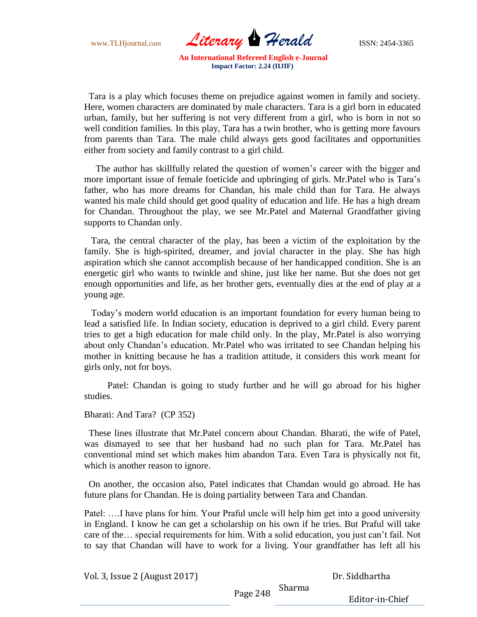www.TLHjournal.com **Literary Herald** ISSN: 2454-3365

 Tara is a play which focuses theme on prejudice against women in family and society. Here, women characters are dominated by male characters. Tara is a girl born in educated urban, family, but her suffering is not very different from a girl, who is born in not so well condition families. In this play, Tara has a twin brother, who is getting more favours from parents than Tara. The male child always gets good facilitates and opportunities either from society and family contrast to a girl child.

 The author has skillfully related the question of women"s career with the bigger and more important issue of female foeticide and upbringing of girls. Mr.Patel who is Tara"s father, who has more dreams for Chandan, his male child than for Tara. He always wanted his male child should get good quality of education and life. He has a high dream for Chandan. Throughout the play, we see Mr.Patel and Maternal Grandfather giving supports to Chandan only.

Tara, the central character of the play, has been a victim of the exploitation by the family. She is high-spirited, dreamer, and jovial character in the play. She has high aspiration which she cannot accomplish because of her handicapped condition. She is an energetic girl who wants to twinkle and shine, just like her name. But she does not get enough opportunities and life, as her brother gets, eventually dies at the end of play at a young age.

 Today"s modern world education is an important foundation for every human being to lead a satisfied life. In Indian society, education is deprived to a girl child. Every parent tries to get a high education for male child only. In the play, Mr.Patel is also worrying about only Chandan"s education. Mr.Patel who was irritated to see Chandan helping his mother in knitting because he has a tradition attitude, it considers this work meant for girls only, not for boys.

 Patel: Chandan is going to study further and he will go abroad for his higher studies.

Bharati: And Tara? (CP 352)

 These lines illustrate that Mr.Patel concern about Chandan. Bharati, the wife of Patel, was dismayed to see that her husband had no such plan for Tara. Mr.Patel has conventional mind set which makes him abandon Tara. Even Tara is physically not fit, which is another reason to ignore.

 On another, the occasion also, Patel indicates that Chandan would go abroad. He has future plans for Chandan. He is doing partiality between Tara and Chandan.

Patel: ….I have plans for him. Your Praful uncle will help him get into a good university in England. I know he can get a scholarship on his own if he tries. But Praful will take care of the… special requirements for him. With a solid education, you just can"t fail. Not to say that Chandan will have to work for a living. Your grandfather has left all his

Vol. 3, Issue 2 (August 2017)

Dr. Siddhartha

Page 248 Sharma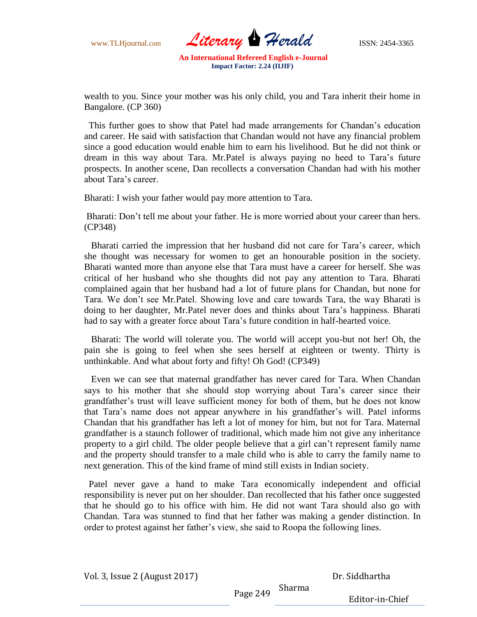

wealth to you. Since your mother was his only child, you and Tara inherit their home in Bangalore. (CP 360)

 This further goes to show that Patel had made arrangements for Chandan"s education and career. He said with satisfaction that Chandan would not have any financial problem since a good education would enable him to earn his livelihood. But he did not think or dream in this way about Tara. Mr.Patel is always paying no heed to Tara"s future prospects. In another scene, Dan recollects a conversation Chandan had with his mother about Tara"s career.

Bharati: I wish your father would pay more attention to Tara.

Bharati: Don"t tell me about your father. He is more worried about your career than hers. (CP348)

 Bharati carried the impression that her husband did not care for Tara"s career, which she thought was necessary for women to get an honourable position in the society. Bharati wanted more than anyone else that Tara must have a career for herself. She was critical of her husband who she thoughts did not pay any attention to Tara. Bharati complained again that her husband had a lot of future plans for Chandan, but none for Tara. We don't see Mr.Patel. Showing love and care towards Tara, the way Bharati is doing to her daughter, Mr.Patel never does and thinks about Tara"s happiness. Bharati had to say with a greater force about Tara"s future condition in half-hearted voice.

 Bharati: The world will tolerate you. The world will accept you-but not her! Oh, the pain she is going to feel when she sees herself at eighteen or twenty. Thirty is unthinkable. And what about forty and fifty! Oh God! (CP349)

 Even we can see that maternal grandfather has never cared for Tara. When Chandan says to his mother that she should stop worrying about Tara"s career since their grandfather"s trust will leave sufficient money for both of them, but he does not know that Tara"s name does not appear anywhere in his grandfather"s will. Patel informs Chandan that his grandfather has left a lot of money for him, but not for Tara. Maternal grandfather is a staunch follower of traditional, which made him not give any inheritance property to a girl child. The older people believe that a girl can"t represent family name and the property should transfer to a male child who is able to carry the family name to next generation. This of the kind frame of mind still exists in Indian society.

 Patel never gave a hand to make Tara economically independent and official responsibility is never put on her shoulder. Dan recollected that his father once suggested that he should go to his office with him. He did not want Tara should also go with Chandan. Tara was stunned to find that her father was making a gender distinction. In order to protest against her father"s view, she said to Roopa the following lines.

Vol. 3, Issue 2 (August 2017)

Sharma

Dr. Siddhartha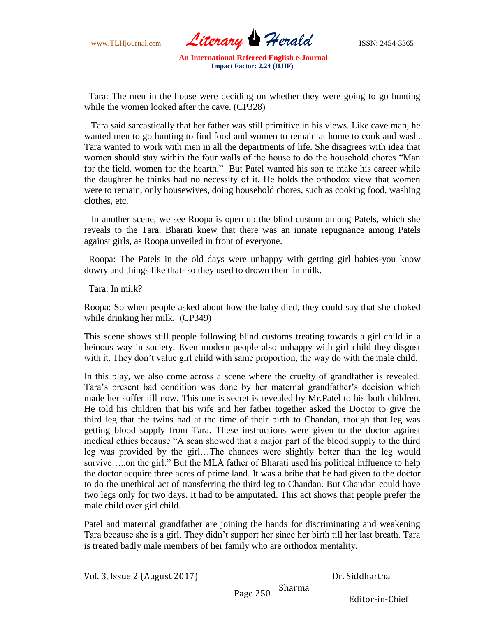www.TLHjournal.com **Literary Herald** ISSN: 2454-3365

 Tara: The men in the house were deciding on whether they were going to go hunting while the women looked after the cave. (CP328)

 Tara said sarcastically that her father was still primitive in his views. Like cave man, he wanted men to go hunting to find food and women to remain at home to cook and wash. Tara wanted to work with men in all the departments of life. She disagrees with idea that women should stay within the four walls of the house to do the household chores "Man for the field, women for the hearth." But Patel wanted his son to make his career while the daughter he thinks had no necessity of it. He holds the orthodox view that women were to remain, only housewives, doing household chores, such as cooking food, washing clothes, etc.

 In another scene, we see Roopa is open up the blind custom among Patels, which she reveals to the Tara. Bharati knew that there was an innate repugnance among Patels against girls, as Roopa unveiled in front of everyone.

 Roopa: The Patels in the old days were unhappy with getting girl babies-you know dowry and things like that- so they used to drown them in milk.

Tara: In milk?

Roopa: So when people asked about how the baby died, they could say that she choked while drinking her milk. (CP349)

This scene shows still people following blind customs treating towards a girl child in a heinous way in society. Even modern people also unhappy with girl child they disgust with it. They don't value girl child with same proportion, the way do with the male child.

In this play, we also come across a scene where the cruelty of grandfather is revealed. Tara's present bad condition was done by her maternal grandfather's decision which made her suffer till now. This one is secret is revealed by Mr.Patel to his both children. He told his children that his wife and her father together asked the Doctor to give the third leg that the twins had at the time of their birth to Chandan, though that leg was getting blood supply from Tara. These instructions were given to the doctor against medical ethics because "A scan showed that a major part of the blood supply to the third leg was provided by the girl…The chances were slightly better than the leg would survive.....on the girl." But the MLA father of Bharati used his political influence to help the doctor acquire three acres of prime land. It was a bribe that he had given to the doctor to do the unethical act of transferring the third leg to Chandan. But Chandan could have two legs only for two days. It had to be amputated. This act shows that people prefer the male child over girl child.

Patel and maternal grandfather are joining the hands for discriminating and weakening Tara because she is a girl. They didn"t support her since her birth till her last breath. Tara is treated badly male members of her family who are orthodox mentality.

Vol. 3, Issue 2 (August 2017)

Dr. Siddhartha

Page 250 Sharma